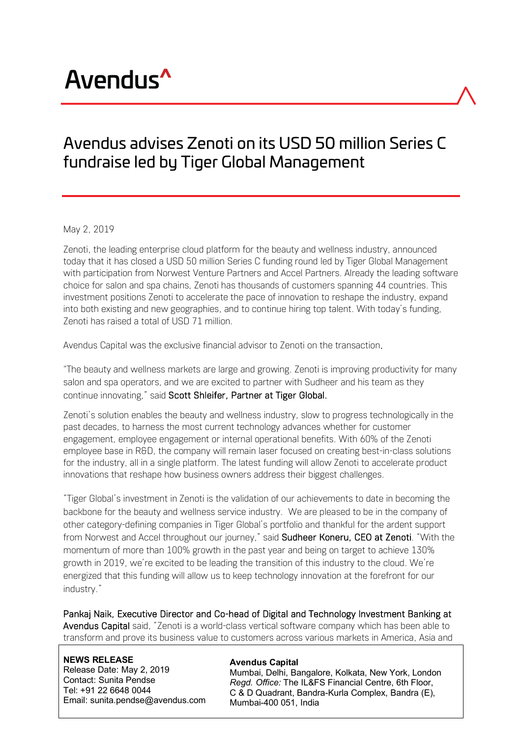# Avendus<sup>^</sup>

## Avendus advises Zenoti on its USD 50 million Series C fundraise led by Tiger Global Management

#### May 2, 2019

Zenoti, the leading enterprise cloud platform for the beauty and wellness industry, announced today that it has closed a USD 50 million Series C funding round led by Tiger Global Management with participation from Norwest Venture Partners and Accel Partners. Already the leading software choice for salon and spa chains, Zenoti has thousands of customers spanning 44 countries. This investment positions Zenoti to accelerate the pace of innovation to reshape the industry, expand into both existing and new geographies, and to continue hiring top talent. With today's funding, Zenoti has raised a total of USD 71 million.

Avendus Capital was the exclusive financial advisor to Zenoti on the transaction.

"The beauty and wellness markets are large and growing. Zenoti is improving productivity for many salon and spa operators, and we are excited to partner with Sudheer and his team as they continue innovating," said Scott Shleifer, Partner at Tiger Global.

Zenoti's solution enables the beauty and wellness industry, slow to progress technologically in the past decades, to harness the most current technology advances whether for customer engagement, employee engagement or internal operational benefits. With 60% of the Zenoti employee base in R&D, the company will remain laser focused on creating best-in-class solutions for the industry, all in a single platform. The latest funding will allow Zenoti to accelerate product innovations that reshape how business owners address their biggest challenges.

"Tiger Global's investment in Zenoti is the validation of our achievements to date in becoming the backbone for the beauty and wellness service industry. We are pleased to be in the company of other category-defining companies in Tiger Global's portfolio and thankful for the ardent support from Norwest and Accel throughout our journey," said Sudheer Koneru, CEO at Zenoti. "With the momentum of more than 100% growth in the past year and being on target to achieve 130% growth in 2019, we're excited to be leading the transition of this industry to the cloud. We're energized that this funding will allow us to keep technology innovation at the forefront for our industry."

Pankaj Naik, Executive Director and Co-head of Digital and Technology Investment Banking at Avendus Capital said, "Zenoti is a world-class vertical software company which has been able to transform and prove its business value to customers across various markets in America, Asia and

**NEWS RELEASE** Release Date: May 2, 2019 Contact: Sunita Pendse Tel: +91 22 6648 0044 Email: sunita.pendse@avendus.com

#### **Avendus Capital**

Mumbai, Delhi, Bangalore, Kolkata, New York, London *Regd. Office:* The IL&FS Financial Centre, 6th Floor, C & D Quadrant, Bandra-Kurla Complex, Bandra (E), Mumbai-400 051, India